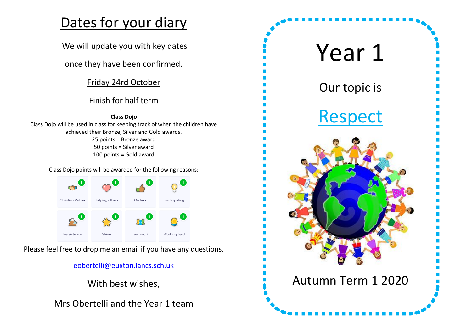# Dates for your diary

We will update you with key dates

once they have been confirmed.

Friday 24rd October

## Finish for half term

**Class Dojo** Class Dojo will be used in class for keeping track of when the children have achieved their Bronze, Silver and Gold awards. 25 points = Bronze award 50 points = Silver award 100 points = Gold award

Class Dojo points will be awarded for the following reasons:



Please feel free to drop me an email if you have any questions.

[eobertelli@euxton.lancs.sch.uk](mailto:eobertelli@euxton.lancs.sch.uk)

With best wishes,

Mrs Obertelli and the Year 1 team